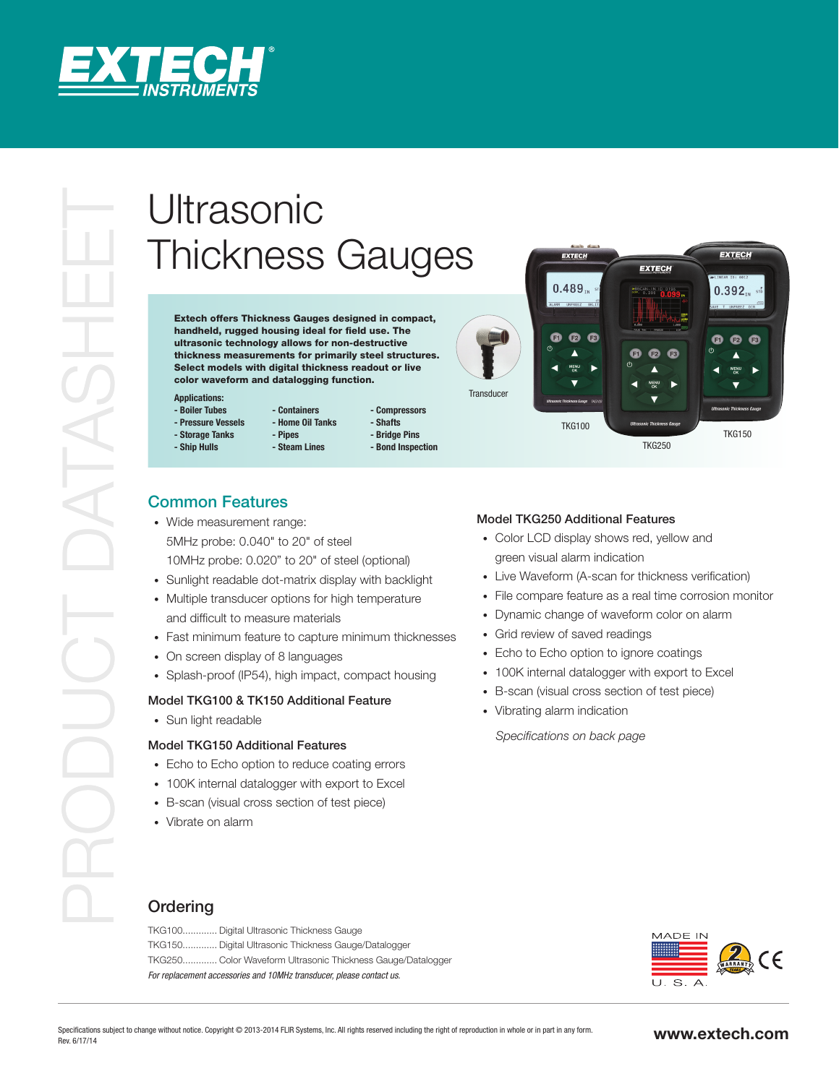

# Thickness Gauges

Extech offers Thickness Gauges designed in compact, handheld, rugged housing ideal for field use. The ultrasonic technology allows for non-destructive thickness measurements for primarily steel structures. Select models with digital thickness readout or live color waveform and datalogging function.

#### **Applications:**

- **Boiler Tubes - Pressure Vessels**
- **Storage Tanks**
- **Ship Hulls**
- **Containers - Home Oil Tanks**
	- **Compressors - Shafts - Bridge Pins**
	- **Bond Inspection**



# Common Features

• Wide measurement range: 5MHz probe: 0.040" to 20" of steel 10MHz probe: 0.020" to 20" of steel (optional)

**- Pipes - Steam Lines**

- • Sunlight readable dot-matrix display with backlight
- Multiple transducer options for high temperature and difficult to measure materials
- Fast minimum feature to capture minimum thicknesses
- On screen display of 8 languages
- Splash-proof (IP54), high impact, compact housing

#### Model TKG100 & TK150 Additional Feature

• Sun light readable

### Model TKG150 Additional Features

- Echo to Echo option to reduce coating errors
- 100K internal datalogger with export to Excel
- • B-scan (visual cross section of test piece)
- Vibrate on alarm

#### Model TKG250 Additional Features

- Color LCD display shows red, yellow and green visual alarm indication
- Live Waveform (A-scan for thickness verification)
- File compare feature as a real time corrosion monitor
- Dynamic change of waveform color on alarm
- Grid review of saved readings
- Echo to Echo option to ignore coatings
- 100K internal datalogger with export to Excel
- • B-scan (visual cross section of test piece)
- Vibrating alarm indication

*Specifications on back page*

# **Ordering**

TKG100............. Digital Ultrasonic Thickness Gauge TKG150............. Digital Ultrasonic Thickness Gauge/Datalogger TKG250............. Color Waveform Ultrasonic Thickness Gauge/Datalogger *For replacement accessories and 10MHz transducer, please contact us.*